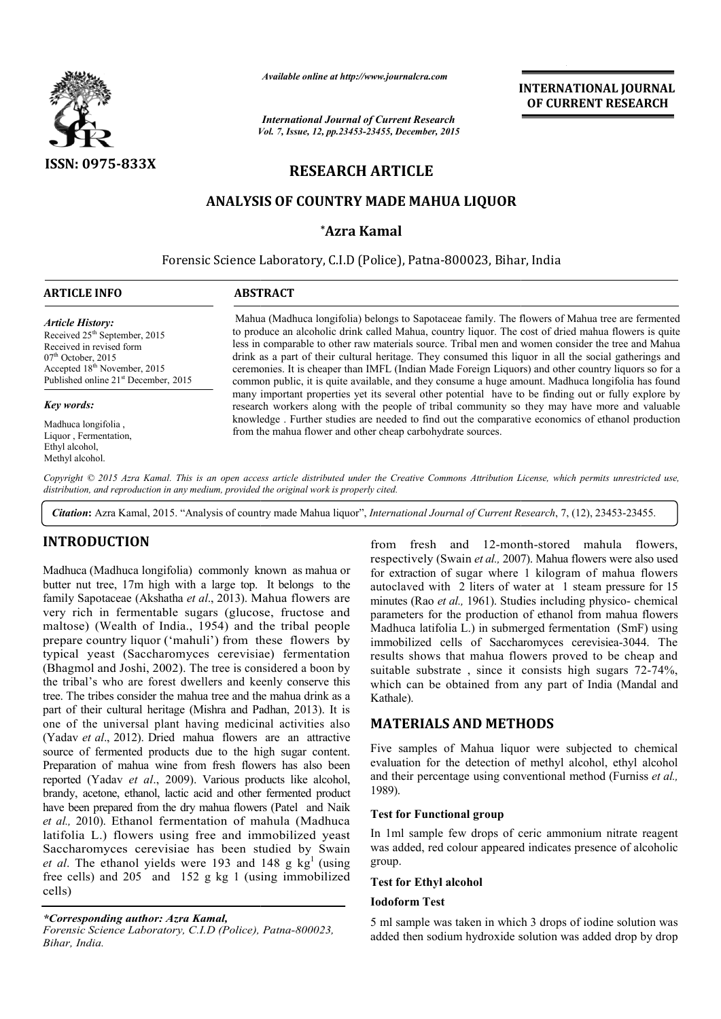

*Available online at http://www.journalcra.com*

*Vol. 7, Issue, 12, pp.23453-23455, December, 2015 International Journal of Current Research*

**INTERNATIONAL INTERNATIONAL JOURNAL OF CURRENT RESEARCH** 

# **RESEARCH ARTICLE**

## **ANALYSIS OF COUNTRY MADE MAHUA LIQUOR**

## **\*Azra Kamal**

Forensic Science Laboratory, C.I.D (Police), Patna-800023, Bihar, India

| <b>ARTICLE INFO</b>                                                                                                                                                                                                      | <b>ABSTRACT</b>                                                                                                                                                                                                                                                                                                                                                                                                                                                                                                                                                                                                                        |  |  |  |
|--------------------------------------------------------------------------------------------------------------------------------------------------------------------------------------------------------------------------|----------------------------------------------------------------------------------------------------------------------------------------------------------------------------------------------------------------------------------------------------------------------------------------------------------------------------------------------------------------------------------------------------------------------------------------------------------------------------------------------------------------------------------------------------------------------------------------------------------------------------------------|--|--|--|
| <b>Article History:</b><br>Received 25 <sup>th</sup> September, 2015<br>Received in revised form<br>$07th$ October, 2015<br>Accepted 18 <sup>th</sup> November, 2015<br>Published online 21 <sup>st</sup> December, 2015 | Mahua (Madhuca longifolia) belongs to Sapotaceae family. The flowers of Mahua tree are fermented<br>to produce an alcoholic drink called Mahua, country liquor. The cost of dried mahua flowers is quite<br>less in comparable to other raw materials source. Tribal men and women consider the tree and Mahua<br>drink as a part of their cultural heritage. They consumed this liquor in all the social gatherings and<br>ceremonies. It is cheaper than IMFL (Indian Made Foreign Liquors) and other country liquors so for a<br>common public, it is quite available, and they consume a huge amount. Madhuca longifolia has found |  |  |  |
| <b>Key words:</b>                                                                                                                                                                                                        | many important properties yet its several other potential have to be finding out or fully explore by<br>research workers along with the people of tribal community so they may have more and valuable                                                                                                                                                                                                                                                                                                                                                                                                                                  |  |  |  |
| Madhuca longifolia,<br>Liquor, Fermentation,<br>Ethyl alcohol,<br>Methyl alcohol.                                                                                                                                        | knowledge. Further studies are needed to find out the comparative economics of ethanol production<br>from the mahua flower and other cheap carbohydrate sources.                                                                                                                                                                                                                                                                                                                                                                                                                                                                       |  |  |  |

Copyright © 2015 Azra Kamal. This is an open access article distributed under the Creative Commons Attribution License, which permits unrestricted use, *distribution, and reproduction in any medium, provided the original work is properly cited.*

Citation: Azra Kamal, 2015. "Analysis of country made Mahua liquor", *International Journal of Current Research*, 7, (12), 23453-23455.

## **INTRODUCTION**

Madhuca (Madhuca longifolia) commonly known as mahua or butter nut tree, 17m high with a large top. It belongs to the family Sapotaceae (Akshatha *et al*., 2013). Mahua flowers are very rich in fermentable sugars (glucose, fructose and maltose) (Wealth of India., 1954) and the tribal people prepare country liquor ('mahuli') from these flowers by typical yeast (Saccharomyces cerevisiae) fermentation (Bhagmol and Joshi, 2002). The tree is considered a boon by the tribal's who are forest dwellers and keenly conserve this tree. The tribes consider the mahua tree and the mahua drink as a part of their cultural heritage (Mishra and Padhan, 2013). It is one of the universal plant having medicinal activities also (Yadav *et al*., 2012). Dried mahua flowers are an attractive source of fermented products due to the high sugar content. Preparation of mahua wine from fresh flowers has also been reported (Yadav *et al*., 2009). Various products like alcohol, brandy, acetone, ethanol, lactic acid and other fermented product have been prepared from the dry mahua flowers (Patel and Naik *et al.,* 2010). Ethanol fermentation of mahula (Madhuca latifolia L.) flowers using free and immobilized yeast Saccharomyces cerevisiae has been studied by Swain *et al.* The ethanol yields were 193 and 148 g  $kg<sup>1</sup>$  (using free cells) and 205 and 152 g kg 1 (using immobilized cells) rsal plant having medicinal activities also<br>2). Dried mahua flowers are an attractive<br>ed products due to the high sugar content.<br>hua wine from fresh flowers has also been<br>*et al.*, 2009). Various products like alcohol,<br>tha

*\*Corresponding author: Azra Kamal,* Forensic Science Laboratory, C.I.D (Police), Patna-800023,

*Bihar, India.*

from fresh and 12-month-stored mahula flowers, respectively (Swain *et al.,* 2007). Mahua flowers were also used for extraction of sugar where 1 kilogram of mahua flowers for extraction of sugar where 1 kilogram of mahua flowers autoclaved with 2 liters of water at 1 steam pressure for 15 minutes (Rao et al., 1961). Studies including physico- chemical parameters for the production of ethanol from mahua flowers Madhuca latifolia L.) in submerged fermentation (SmF) using immobilized cells of Saccharomyces cerevisiea-3044. The results shows that mahua flowers proved to be cheap and results shows that mahua flowers proved to be cheap and suitable substrate, since it consists high sugars 72-74%, which can be obtained from any part of India (Mandal and Kathale).

### **MATERIALS AND METHODS METHODS**

Five samples of Mahua liquor were subjected to chemical evaluation for the detection of methyl alcohol, ethyl alcohol and their percentage using conventional method (Furniss *et al.,* 1989).

#### **Test for Functional group**

In 1ml sample few drops of ceric ammonium nitrate reagent was added, red colour appeared indicates presence of alcoholic group. pps of ceric ammonium nitrate reagent<br>uppeared indicates presence of alcoholic<br>in which 3 drops of iodine solution was

#### **Test for Ethyl alcohol**

#### **Iodoform Test**

5 ml sample was taken in which 3 drops of iodine solution was added then sodium hydroxide solution was added drop by drop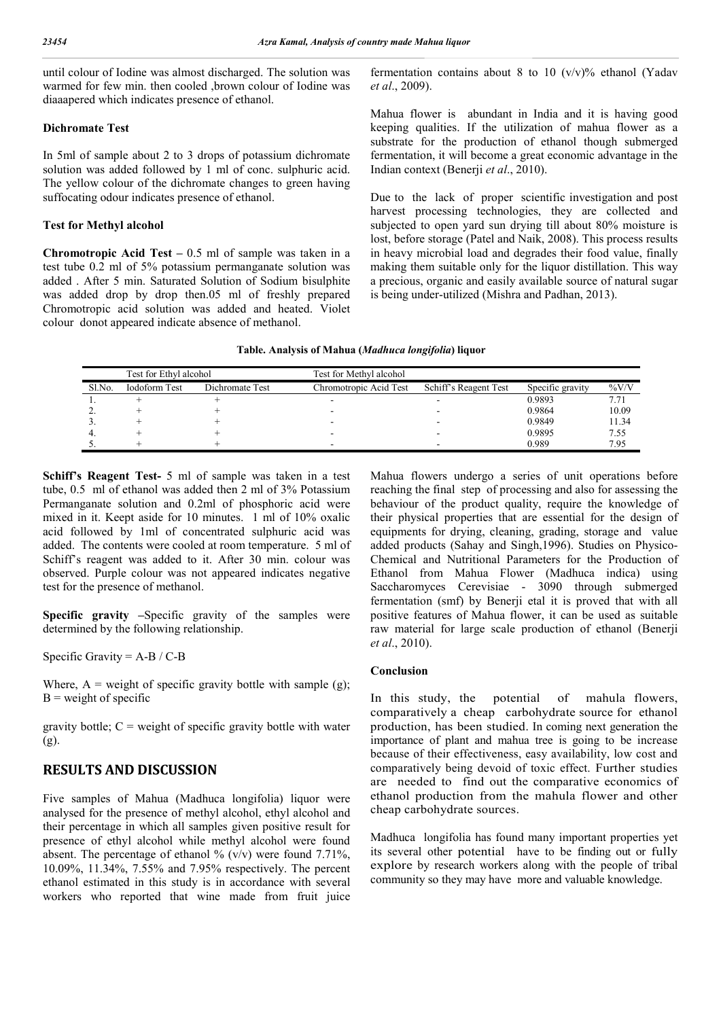until colour of Iodine was almost discharged. The solution was warmed for few min. then cooled ,brown colour of Iodine was diaaapered which indicates presence of ethanol.

### **Dichromate Test**

In 5ml of sample about 2 to 3 drops of potassium dichromate solution was added followed by 1 ml of conc. sulphuric acid. The yellow colour of the dichromate changes to green having suffocating odour indicates presence of ethanol.

### **Test for Methyl alcohol**

**Chromotropic Acid Test –** 0.5 ml of sample was taken in a test tube 0.2 ml of 5% potassium permanganate solution was added . After 5 min. Saturated Solution of Sodium bisulphite was added drop by drop then.05 ml of freshly prepared Chromotropic acid solution was added and heated. Violet colour donot appeared indicate absence of methanol.

fermentation contains about 8 to 10  $(v/v)$ % ethanol (Yadav *et al*., 2009).

Mahua flower is abundant in India and it is having good keeping qualities. If the utilization of mahua flower as a substrate for the production of ethanol though submerged fermentation, it will become a great economic advantage in the Indian context (Benerji *et al*., 2010).

Due to the lack of proper scientific investigation and post harvest processing technologies, they are collected and subjected to open yard sun drying till about 80% moisture is lost, before storage (Patel and Naik, 2008). This process results in heavy microbial load and degrades their food value, finally making them suitable only for the liquor distillation. This way a precious, organic and easily available source of natural sugar is being under-utilized (Mishra and Padhan, 2013).

| Test for Ethyl alcohol |                      | Test for Methyl alcohol |                        |                       |                  |          |
|------------------------|----------------------|-------------------------|------------------------|-----------------------|------------------|----------|
| Sl.No.                 | <b>Iodoform Test</b> | Dichromate Test         | Chromotropic Acid Test | Schiff's Reagent Test | Specific gravity | $\%$ V/V |
|                        |                      |                         |                        |                       | 0.9893           |          |
|                        |                      |                         |                        |                       | 0.9864           | 10.09    |
|                        |                      |                         |                        |                       | 0.9849           | 11.34    |
|                        |                      |                         |                        |                       | 0.9895           | 7.55     |
|                        |                      |                         |                        |                       | 0.989            | 7.95     |

**Schiff's Reagent Test-** 5 ml of sample was taken in a test tube, 0.5 ml of ethanol was added then 2 ml of 3% Potassium Permanganate solution and 0.2ml of phosphoric acid were mixed in it. Keept aside for 10 minutes. 1 ml of 10% oxalic acid followed by 1ml of concentrated sulphuric acid was added. The contents were cooled at room temperature. 5 ml of Schiff's reagent was added to it. After 30 min. colour was observed. Purple colour was not appeared indicates negative test for the presence of methanol.

**Specific gravity –**Specific gravity of the samples were determined by the following relationship.

Specific Gravity = A-B / C-B

Where,  $A$  = weight of specific gravity bottle with sample (g);  $B$  = weight of specific

gravity bottle;  $C =$  weight of specific gravity bottle with water (g).

## **RESULTS AND DISCUSSION**

Five samples of Mahua (Madhuca longifolia) liquor were analysed for the presence of methyl alcohol, ethyl alcohol and their percentage in which all samples given positive result for presence of ethyl alcohol while methyl alcohol were found absent. The percentage of ethanol  $\%$  (v/v) were found 7.71%, 10.09%, 11.34%, 7.55% and 7.95% respectively. The percent ethanol estimated in this study is in accordance with several workers who reported that wine made from fruit juice

Mahua flowers undergo a series of unit operations before reaching the final step of processing and also for assessing the behaviour of the product quality, require the knowledge of their physical properties that are essential for the design of equipments for drying, cleaning, grading, storage and value added products (Sahay and Singh,1996). Studies on Physico-Chemical and Nutritional Parameters for the Production of Ethanol from Mahua Flower (Madhuca indica) using Saccharomyces Cerevisiae - 3090 through submerged fermentation (smf) by Benerji etal it is proved that with all positive features of Mahua flower, it can be used as suitable raw material for large scale production of ethanol (Benerji *et al*., 2010).

### **Conclusion**

In this study, the potential of mahula flowers, comparatively a cheap carbohydrate source for ethanol production, has been studied. In coming next generation the importance of plant and mahua tree is going to be increase because of their effectiveness, easy availability, low cost and comparatively being devoid of toxic effect. Further studies are needed to find out the comparative economics of ethanol production from the mahula flower and other cheap carbohydrate sources.

Madhuca longifolia has found many important properties yet its several other potential have to be finding out or fully explore by research workers along with the people of tribal community so they may have more and valuable knowledge.